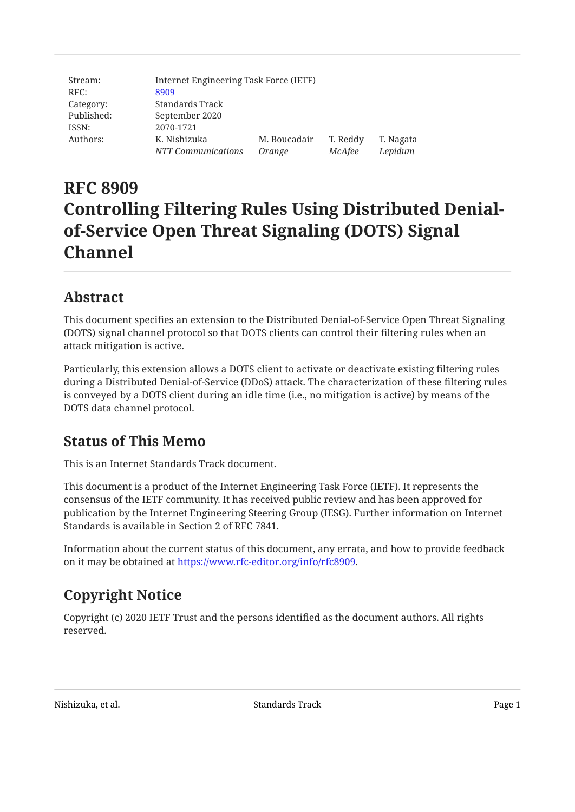| Stream:    |                    | Internet Engineering Task Force (IETF) |          |           |  |  |
|------------|--------------------|----------------------------------------|----------|-----------|--|--|
| RFC:       | 8909               |                                        |          |           |  |  |
| Category:  | Standards Track    |                                        |          |           |  |  |
| Published: | September 2020     |                                        |          |           |  |  |
| ISSN:      | 2070-1721          |                                        |          |           |  |  |
| Authors:   | K. Nishizuka       | M. Boucadair                           | T. Reddy | T. Nagata |  |  |
|            | NTT Communications | Orange                                 | McAfee   | Lepidum   |  |  |

# **RFC 8909 Controlling Filtering Rules Using Distributed Denialof-Service Open Threat Signaling (DOTS) Signal Channel**

## <span id="page-0-0"></span>**[Abstract](#page-0-0)**

This document specifies an extension to the Distributed Denial-of-Service Open Threat Signaling (DOTS) signal channel protocol so that DOTS clients can control their filtering rules when an attack mitigation is active.

Particularly, this extension allows a DOTS client to activate or deactivate existing filtering rules during a Distributed Denial-of-Service (DDoS) attack. The characterization of these filtering rules is conveyed by a DOTS client during an idle time (i.e., no mitigation is active) by means of the DOTS data channel protocol.

## <span id="page-0-1"></span>**[Status of This Memo](#page-0-1)**

This is an Internet Standards Track document.

This document is a product of the Internet Engineering Task Force (IETF). It represents the consensus of the IETF community. It has received public review and has been approved for publication by the Internet Engineering Steering Group (IESG). Further information on Internet Standards is available in Section 2 of RFC 7841.

Information about the current status of this document, any errata, and how to provide feedback on it may be obtained at <https://www.rfc-editor.org/info/rfc8909>.

## <span id="page-0-2"></span>**[Copyright Notice](#page-0-2)**

Copyright (c) 2020 IETF Trust and the persons identified as the document authors. All rights reserved.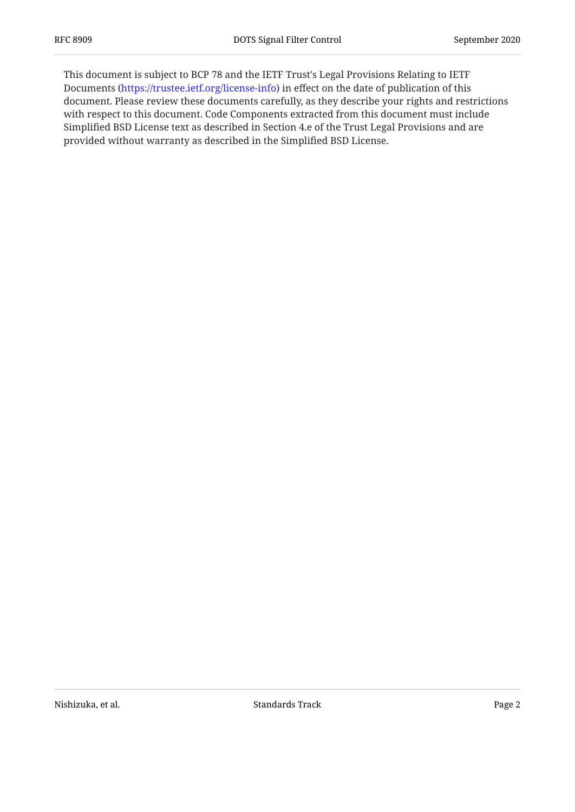This document is subject to BCP 78 and the IETF Trust's Legal Provisions Relating to IETF Documents (<https://trustee.ietf.org/license-info>) in effect on the date of publication of this document. Please review these documents carefully, as they describe your rights and restrictions with respect to this document. Code Components extracted from this document must include Simplified BSD License text as described in Section 4.e of the Trust Legal Provisions and are provided without warranty as described in the Simplified BSD License.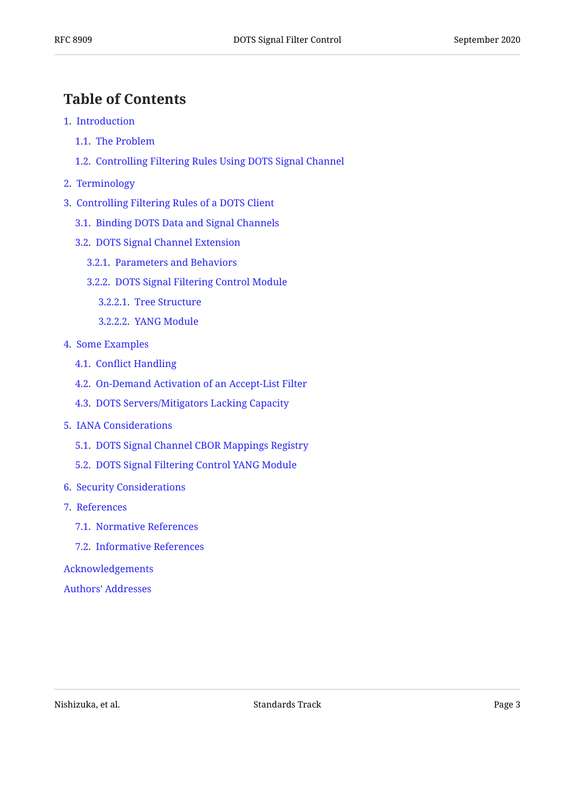## <span id="page-2-0"></span>**[Table of Contents](#page-2-0)**

- [1.](#page-3-0) [Introduction](#page-3-0)
	- [1.1.](#page-3-1) [The Problem](#page-3-1)
	- [1.2.](#page-4-0) [Controlling Filtering Rules Using DOTS Signal Channel](#page-4-0)
- [2.](#page-4-1) [Terminology](#page-4-1)
- [3.](#page-5-0) [Controlling Filtering Rules of a DOTS Client](#page-5-0)
	- [3.1.](#page-5-1) [Binding DOTS Data and Signal Channels](#page-5-1)
	- [3.2.](#page-5-2) [DOTS Signal Channel Extension](#page-5-2)
		- [3.2.1.](#page-5-3) [Parameters and Behaviors](#page-5-3)
		- [3.2.2.](#page-8-0) [DOTS Signal Filtering Control Module](#page-8-0)
			- [3.2.2.1.](#page-8-1) [Tree Structure](#page-8-1)
			- [3.2.2.2.](#page-8-2) [YANG Module](#page-8-2)
- [4.](#page-11-0) [Some Examples](#page-11-0)
	- [4.1.](#page-12-0) Confl[ict Handling](#page-12-0)
	- [4.2.](#page-15-0) [On-Demand Activation of an Accept-List Filter](#page-15-0)
	- [4.3.](#page-17-0) [DOTS Servers/Mitigators Lacking Capacity](#page-17-0)
- [5.](#page-21-0) [IANA Considerations](#page-21-0)
	- [5.1.](#page-21-1) [DOTS Signal Channel CBOR Mappings Registry](#page-21-1)
	- [5.2.](#page-21-2) [DOTS Signal Filtering Control YANG Module](#page-21-2)
- [6.](#page-22-0) [Security Considerations](#page-22-0)
- [7.](#page-22-1) [References](#page-22-1)
	- [7.1.](#page-22-2) [Normative References](#page-22-2)
	- [7.2.](#page-23-0) [Informative References](#page-23-0)

[Acknowledgements](#page-24-0)

[Authors' Addresses](#page-24-1)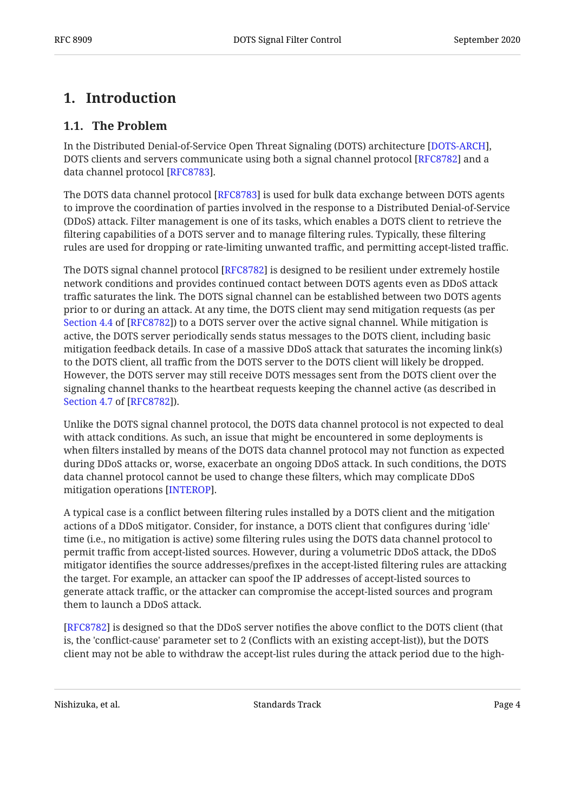## <span id="page-3-1"></span><span id="page-3-0"></span>**[1. Introduction](#page-3-0)**

#### **[1.1. The Problem](#page-3-1)**

In the Distributed Denial-of-Service Open Threat Signaling (DOTS) architecture [\[DOTS-ARCH\]](#page-23-1), DOTS clients and servers communicate using both a signal channel protocol [RFC8782] and a data channel protocol [RFC8783].

The DOTS data channel protocol [RFC8783] is used for bulk data exchange between DOTS agents to improve the coordination of parties involved in the response to a Distributed Denial-of-Service (DDoS) attack. Filter management is one of its tasks, which enables a DOTS client to retrieve the filtering capabilities of a DOTS server and to manage filtering rules. Typically, these filtering rules are used for dropping or rate-limiting unwanted traffic, and permitting accept-listed traffic.

The DOTS signal channel protocol [RFC8782] is designed to be resilient under extremely hostile network conditions and provides continued contact between DOTS agents even as DDoS attack traffic saturates the link. The DOTS signal channel can be established between two DOTS agents prior to or during an attack. At any time, the DOTS client may send mitigation requests (as per [Section 4.4](https://www.rfc-editor.org/rfc/rfc8782#section-4.4) of [\[RFC8782](#page-23-2)]) to a DOTS server over the active signal channel. While mitigation is active, the DOTS server periodically sends status messages to the DOTS client, including basic mitigation feedback details. In case of a massive DDoS attack that saturates the incoming link(s) to the DOTS client, all traffic from the DOTS server to the DOTS client will likely be dropped. However, the DOTS server may still receive DOTS messages sent from the DOTS client over the signaling channel thanks to the heartbeat requests keeping the channel active (as described in ). [Section 4.7](https://www.rfc-editor.org/rfc/rfc8782#section-4.7) of [\[RFC8782](#page-23-2)]

Unlike the DOTS signal channel protocol, the DOTS data channel protocol is not expected to deal with attack conditions. As such, an issue that might be encountered in some deployments is when filters installed by means of the DOTS data channel protocol may not function as expected during DDoS attacks or, worse, exacerbate an ongoing DDoS attack. In such conditions, the DOTS data channel protocol cannot be used to change these filters, which may complicate DDoS mitigation operations [INTEROP].

A typical case is a conflict between filtering rules installed by a DOTS client and the mitigation actions of a DDoS mitigator. Consider, for instance, a DOTS client that configures during 'idle' time (i.e., no mitigation is active) some filtering rules using the DOTS data channel protocol to permit traffic from accept-listed sources. However, during a volumetric DDoS attack, the DDoS mitigator identifies the source addresses/prefixes in the accept-listed filtering rules are attacking the target. For example, an attacker can spoof the IP addresses of accept-listed sources to generate attack traffic, or the attacker can compromise the accept-listed sources and program them to launch a DDoS attack.

[[RFC8782\]](#page-23-2) is designed so that the DDoS server notifies the above conflict to the DOTS client (that is, the 'conflict-cause' parameter set to 2 (Conflicts with an existing accept-list)), but the DOTS client may not be able to withdraw the accept-list rules during the attack period due to the high-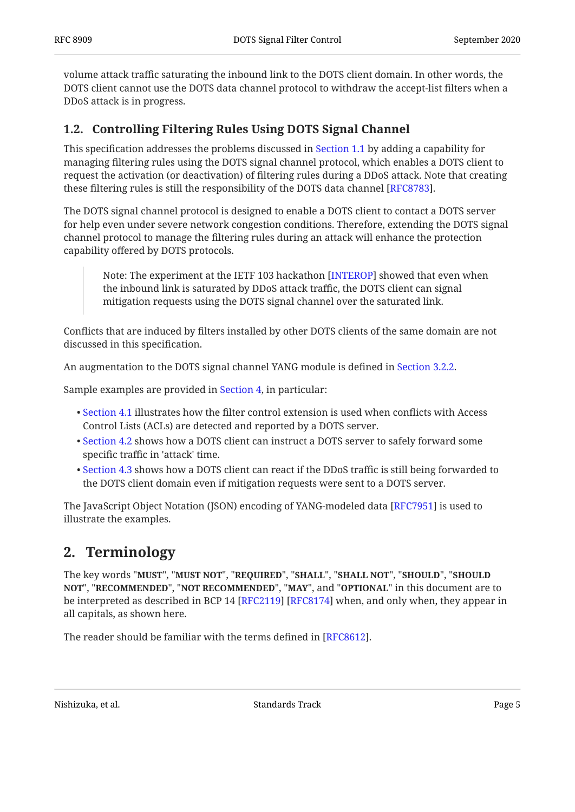volume attack traffic saturating the inbound link to the DOTS client domain. In other words, the DOTS client cannot use the DOTS data channel protocol to withdraw the accept-list filters when a DDoS attack is in progress.

### <span id="page-4-0"></span>**[1.2. Controlling Filtering Rules Using DOTS Signal Channel](#page-4-0)**

This specification addresses the problems discussed in [Section 1.1](#page-3-1) by adding a capability for managing filtering rules using the DOTS signal channel protocol, which enables a DOTS client to request the activation (or deactivation) of filtering rules during a DDoS attack. Note that creating these filtering rules is still the responsibility of the DOTS data channel [[RFC8783\]](#page-23-3).  $\,$ 

The DOTS signal channel protocol is designed to enable a DOTS client to contact a DOTS server for help even under severe network congestion conditions. Therefore, extending the DOTS signal channel protocol to manage the filtering rules during an attack will enhance the protection capability offered by DOTS protocols.

Note: The experiment at the IETF 103 hackathon [INTEROP] showed that even when the inbound link is saturated by DDoS attack traffic, the DOTS client can signal mitigation requests using the DOTS signal channel over the saturated link.

Conflicts that are induced by filters installed by other DOTS clients of the same domain are not discussed in this specification.

An augmentation to the DOTS signal channel YANG module is defined in [Section 3.2.2](#page-8-0).

Sample examples are provided in [Section 4,](#page-11-0) in particular:

- $\bullet$  [Section 4.1](#page-12-0) illustrates how the filter control extension is used when conflicts with Access Control Lists (ACLs) are detected and reported by a DOTS server.
- $\bullet$  [Section 4.2](#page-15-0) shows how a DOTS client can instruct a DOTS server to safely forward some specific traffic in 'attack' time.
- $\bullet$  [Section 4.3](#page-17-0) shows how a DOTS client can react if the DDoS traffic is still being forwarded to the DOTS client domain even if mitigation requests were sent to a DOTS server.

<span id="page-4-1"></span>The JavaScript Object Notation (JSON) encoding of YANG-modeled data [[RFC7951\]](#page-23-5) is used to illustrate the examples.

### **[2. Terminology](#page-4-1)**

The key words "MUST", "MUST NOT", "REQUIRED", "SHALL", "SHALL NOT", "SHOULD", "SHOULD <code>NOT",</code> "<code>RECOMMENDED", "NOT RECOMMENDED", "MAY", and "OPTIONAL" in this document are to</code> be interpreted as described in BCP 14 [RFC2119] [RFC8174] when, and only when, they appear in all capitals, as shown here.

The reader should be familiar with the terms defined in [RFC8612].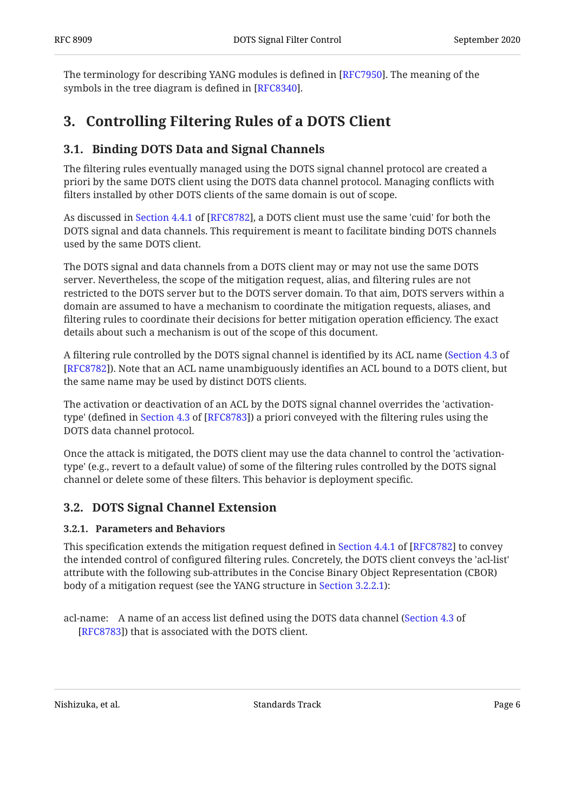<span id="page-5-0"></span>The terminology for describing YANG modules is defined in [RFC7950]. The meaning of the symbols in the tree diagram is defined in [RFC8340].

## <span id="page-5-1"></span>**[3. Controlling Filtering Rules of a DOTS Client](#page-5-0)**

### **[3.1. Binding DOTS Data and Signal Channels](#page-5-1)**

The filtering rules eventually managed using the DOTS signal channel protocol are created a priori by the same DOTS client using the DOTS data channel protocol. Managing conflicts with filters installed by other DOTS clients of the same domain is out of scope.

As discussed in Section 4.4.1 of [RFC8782], a DOTS client must use the same 'cuid' for both the DOTS signal and data channels. This requirement is meant to facilitate binding DOTS channels used by the same DOTS client.

The DOTS signal and data channels from a DOTS client may or may not use the same DOTS server. Nevertheless, the scope of the mitigation request, alias, and filtering rules are not restricted to the DOTS server but to the DOTS server domain. To that aim, DOTS servers within a domain are assumed to have a mechanism to coordinate the mitigation requests, aliases, and filtering rules to coordinate their decisions for better mitigation operation efficiency. The exact details about such a mechanism is out of the scope of this document.

A filtering rule controlled by the DOTS signal channel is identified by its ACL name ( [Section 4.3](https://www.rfc-editor.org/rfc/rfc8782#section-4.3) of [[RFC8782\]](#page-23-2)). Note that an ACL name unambiguously identifies an ACL bound to a DOTS client, but the same name may be used by distinct DOTS clients.

The activation or deactivation of an ACL by the DOTS signal channel overrides the 'activationtype' (defined in Section 4.3 of [RFC8783]) a priori conveyed with the filtering rules using the DOTS data channel protocol.

Once the attack is mitigated, the DOTS client may use the data channel to control the 'activationtype' (e.g., revert to a default value) of some of the filtering rules controlled by the DOTS signal channel or delete some of these filters. This behavior is deployment specific.

### <span id="page-5-3"></span><span id="page-5-2"></span>**[3.2. DOTS Signal Channel Extension](#page-5-2)**

#### **[3.2.1. Parameters and Behaviors](#page-5-3)**

Thisspecification extends the mitigation request defined in Section 4.4.1 of [RFC8782] to convey the intended control of configured filtering rules. Concretely, the DOTS client conveys the 'acl-list' attribute with the following sub-attributes in the Concise Binary Object Representation (CBOR) body of a mitigation request (see the YANG structure in [Section 3.2.2.1\)](#page-8-1):

acl-name: A name of an access list defined using the DOTS data channel ([Section 4.3](https://www.rfc-editor.org/rfc/rfc8783#section-4.3) of [[RFC8783\]](#page-23-3)) that is associated with the DOTS client.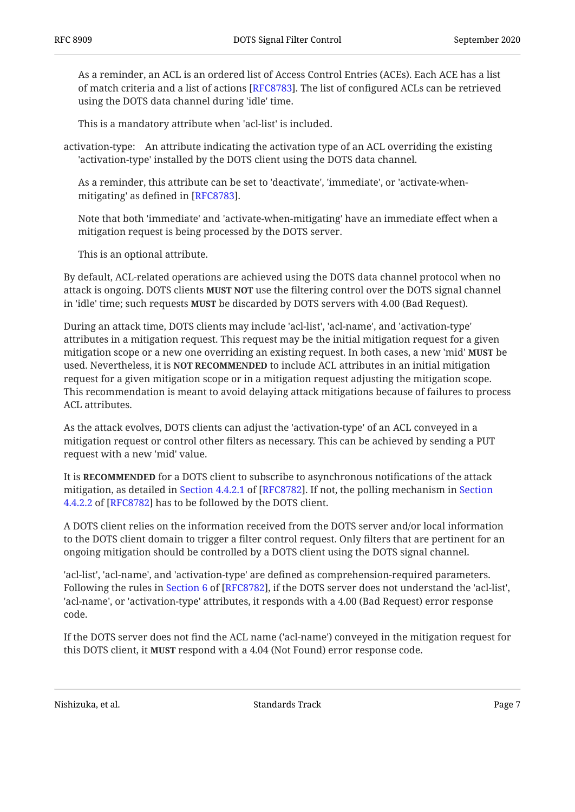As a reminder, an ACL is an ordered list of Access Control Entries (ACEs). Each ACE has a list of match criteria and a list of actions [[RFC8783\]](#page-23-3). The list of configured ACLs can be retrieved using the DOTS data channel during 'idle' time.

This is a mandatory attribute when 'acl-list' is included.

activation-type: An attribute indicating the activation type of an ACL overriding the existing 'activation-type' installed by the DOTS client using the DOTS data channel.

As a reminder, this attribute can be set to 'deactivate', 'immediate', or 'activate-whenmitigating' as defined in [RFC8783].

Note that both 'immediate' and 'activate-when-mitigating' have an immediate effect when a mitigation request is being processed by the DOTS server.

This is an optional attribute.

By default, ACL-related operations are achieved using the DOTS data channel protocol when no attack is ongoing. DOTS clients **MUST NOT** use the filtering control over the DOTS signal channel in 'idle' time; such requests **MUST** be discarded by DOTS servers with 4.00 (Bad Request).

During an attack time, DOTS clients may include 'acl-list', 'acl-name', and 'activation-type' attributes in a mitigation request. This request may be the initial mitigation request for a given mitigation scope or a new one overriding an existing request. In both cases, a new 'mid' **MUST** be used. Nevertheless, it is **NOT RECOMMENDED** to include ACL attributes in an initial mitigation request for a given mitigation scope or in a mitigation request adjusting the mitigation scope. This recommendation is meant to avoid delaying attack mitigations because of failures to process ACL attributes.

As the attack evolves, DOTS clients can adjust the 'activation-type' of an ACL conveyed in a mitigation request or control other filters as necessary. This can be achieved by sending a PUT request with a new 'mid' value.

It is **RECOMMENDED** for a DOTS client to subscribe to asynchronous notifications of the attack mitigation,as detailed in [Section](https://www.rfc-editor.org/rfc/rfc8782#section-4.4.2.2) 4.4.2.1 of [RFC8782]. If not, the polling mechanism in Section [4.4.2.2](https://www.rfc-editor.org/rfc/rfc8782#section-4.4.2.2) of [\[RFC8782\]](#page-23-2) has to be followed by the DOTS client.

A DOTS client relies on the information received from the DOTS server and/or local information to the DOTS client domain to trigger a filter control request. Only filters that are pertinent for an ongoing mitigation should be controlled by a DOTS client using the DOTS signal channel.

'acl-list', 'acl-name', and 'activation-type' are defined as comprehension-required parameters. Followingthe rules in Section 6 of [RFC8782], if the DOTS server does not understand the 'acl-list', 'acl-name', or 'activation-type' attributes, it responds with a 4.00 (Bad Request) error response code.

If the DOTS server does not find the ACL name ('acl-name') conveyed in the mitigation request for this DOTS client, it **MUST** respond with a 4.04 (Not Found) error response code.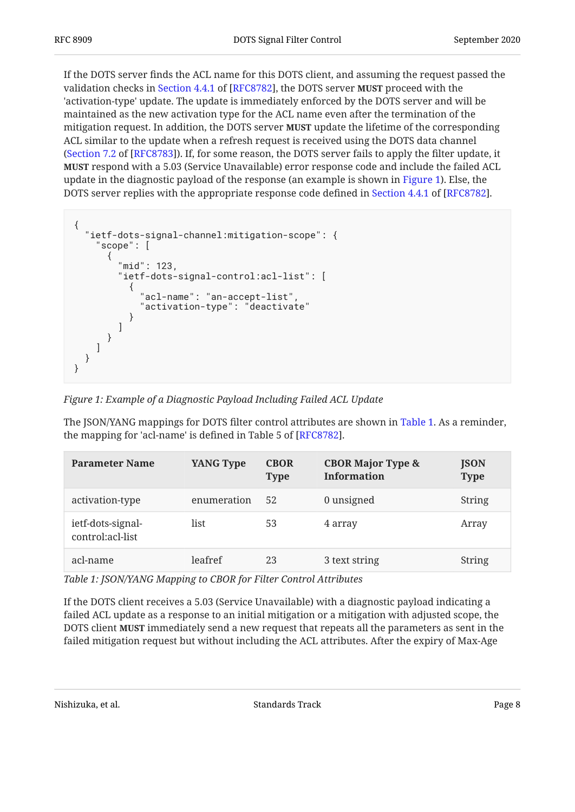If the DOTS server finds the ACL name for this DOTS client, and assuming the request passed the validation checks in Section 4.4.1 of [RFC8782], the DOTS server **MUST** proceed with the 'activation-type' update. The update is immediately enforced by the DOTS server and will be maintained as the new activation type for the ACL name even after the termination of the mitigation request. In addition, the DOTS server **MUST** update the lifetime of the corresponding ACL similar to the update when a refresh request is received using the DOTS data channel ([Section 7.2](https://www.rfc-editor.org/rfc/rfc8783#section-7.2) of [[RFC8783\]](#page-23-3)). If, for some reason, the DOTS server fails to apply the filter update, it **MUST** respond with a 5.03 (Service Unavailable) error response code and include the failed ACL update in the diagnostic payload of the response (an example is shown in [Figure 1](#page-7-0)). Else, the DOTSserver replies with the appropriate response code defined in Section 4.4.1 of [RFC8782].

```
{
   "ietf-dots-signal-channel:mitigation-scope": {
      "scope": [
        {
           "mid": 123,
           "ietf-dots-signal-control:acl-list": [
\{ "acl-name": "an-accept-list",
               "activation-type": "deactivate"
        \begin{matrix} \end{matrix}[[[[[[[[[[[[[]]]]]
 }
\blacksquare }
}
```

|  |  | Figure 1: Example of a Diagnostic Payload Including Failed ACL Update |
|--|--|-----------------------------------------------------------------------|

The JSON/YANG mappings for DOTS filter control attributes are shown in [Table 1](#page-7-1). As a reminder, the mapping for 'acl-name' is defined in Table 5 of  $[RFC8782]$ .

<span id="page-7-1"></span>

| <b>Parameter Name</b>                 | <b>YANG Type</b> | <b>CBOR</b><br><b>Type</b> | <b>CBOR Major Type &amp;</b><br><b>Information</b> | <b>JSON</b><br><b>Type</b> |
|---------------------------------------|------------------|----------------------------|----------------------------------------------------|----------------------------|
| activation-type                       | enumeration      | 52                         | 0 unsigned                                         | <b>String</b>              |
| ietf-dots-signal-<br>control:acl-list | list             | 53                         | 4 array                                            | Array                      |
| acl-name                              | leafref          | 23                         | 3 text string                                      | String                     |

*[Table 1](#page-7-1): [JSON/YANG Mapping to CBOR for Filter Control Attributes](#page-7-1)* 

If the DOTS client receives a 5.03 (Service Unavailable) with a diagnostic payload indicating a failed ACL update as a response to an initial mitigation or a mitigation with adjusted scope, the DOTS client **MUST** immediately send a new request that repeats all the parameters as sent in the failed mitigation request but without including the ACL attributes. After the expiry of Max-Age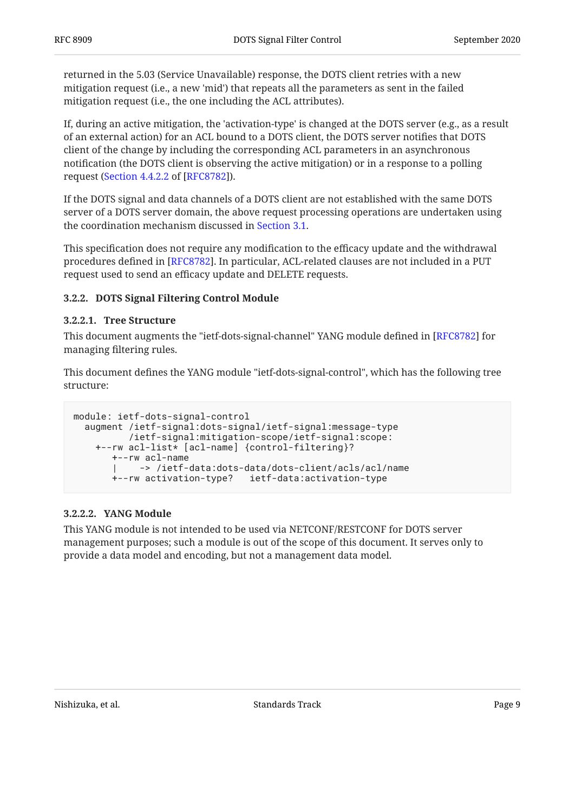returned in the 5.03 (Service Unavailable) response, the DOTS client retries with a new mitigation request (i.e., a new 'mid') that repeats all the parameters as sent in the failed mitigation request (i.e., the one including the ACL attributes).

If, during an active mitigation, the 'activation-type' is changed at the DOTS server (e.g., as a result of an external action) for an ACL bound to a DOTS client, the DOTS server notifies that DOTS client of the change by including the corresponding ACL parameters in an asynchronous notification (the DOTS client is observing the active mitigation) or in a response to a polling request ([Section 4.4.2.2](https://www.rfc-editor.org/rfc/rfc8782#section-4.4.2.2) of [\[RFC8782](#page-23-2)]).

If the DOTS signal and data channels of a DOTS client are not established with the same DOTS server of a DOTS server domain, the above request processing operations are undertaken using the coordination mechanism discussed in [Section 3.1](#page-5-1).

This specification does not require any modification to the efficacy update and the withdrawal procedures defined in [RFC8782]. In particular, ACL-related clauses are not included in a PUT request used to send an efficacy update and DELETE requests.

#### <span id="page-8-0"></span>**[3.2.2. DOTS Signal Filtering Control Module](#page-8-0)**

#### <span id="page-8-1"></span>**[3.2.2.1. Tree Structure](#page-8-1)**

This document augments the "ietf-dots-signal-channel" YANG module defined in [RFC8782] for managing filtering rules.

This document defines the YANG module "ietf-dots-signal-control", which has the following tree structure:

```
module: ietf-dots-signal-control
   augment /ietf-signal:dots-signal/ietf-signal:message-type
           /ietf-signal:mitigation-scope/ietf-signal:scope:
     +--rw acl-list* [acl-name] {control-filtering}?
        +--rw acl-name
           | -> /ietf-data:dots-data/dots-client/acls/acl/name
        +--rw activation-type? ietf-data:activation-type
```
#### <span id="page-8-2"></span>**[3.2.2.2. YANG Module](#page-8-2)**

This YANG module is not intended to be used via NETCONF/RESTCONF for DOTS server management purposes; such a module is out of the scope of this document. It serves only to provide a data model and encoding, but not a management data model.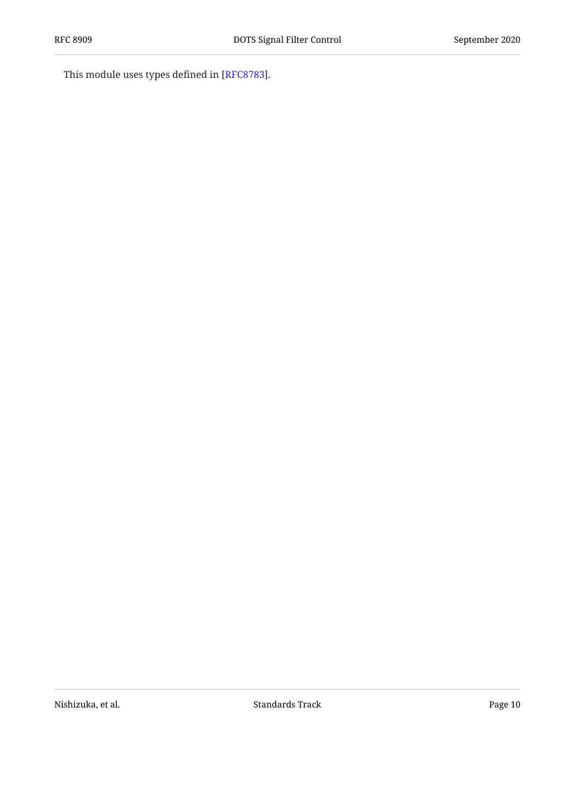This module uses types defined in [\[RFC8783](#page-23-3)].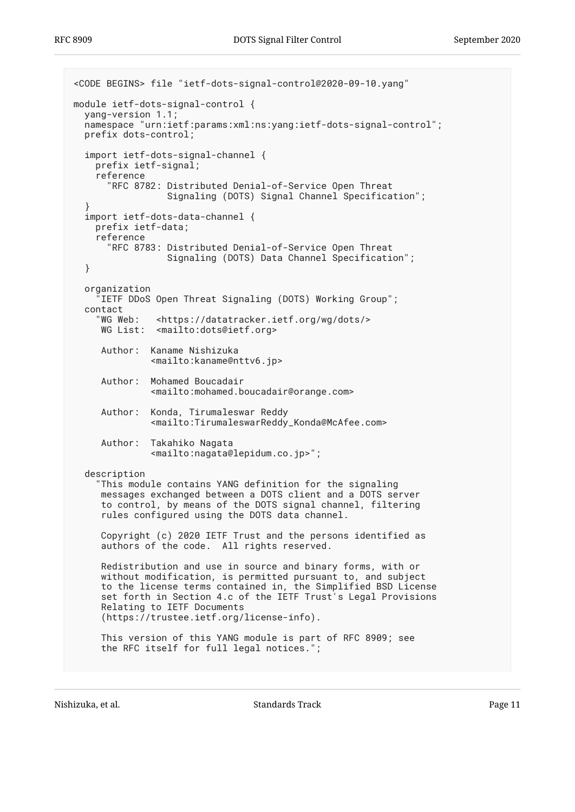```
<CODE BEGINS> file "ietf-dots-signal-control@2020-09-10.yang"
module ietf-dots-signal-control {
  yang-version 1.1;
   namespace "urn:ietf:params:xml:ns:yang:ietf-dots-signal-control";
   prefix dots-control;
   import ietf-dots-signal-channel {
     prefix ietf-signal;
     reference
       "RFC 8782: Distributed Denial-of-Service Open Threat
                  Signaling (DOTS) Signal Channel Specification";
 }
   import ietf-dots-data-channel {
     prefix ietf-data;
     reference
       "RFC 8783: Distributed Denial-of-Service Open Threat
                  Signaling (DOTS) Data Channel Specification";
   }
   organization
      "IETF DDoS Open Threat Signaling (DOTS) Working Group";
  contact<br>"WG Web:
               <https://datatracker.ietf.org/wg/dots/>
     WG List: <mailto:dots@ietf.org>
      Author: Kaname Nishizuka
               <mailto:kaname@nttv6.jp>
      Author: Mohamed Boucadair
               <mailto:mohamed.boucadair@orange.com>
      Author: Konda, Tirumaleswar Reddy
               <mailto:TirumaleswarReddy_Konda@McAfee.com>
      Author: Takahiko Nagata
               <mailto:nagata@lepidum.co.jp>";
   description
     "This module contains YANG definition for the signaling
      messages exchanged between a DOTS client and a DOTS server
      to control, by means of the DOTS signal channel, filtering
      rules configured using the DOTS data channel.
      Copyright (c) 2020 IETF Trust and the persons identified as
      authors of the code. All rights reserved.
      Redistribution and use in source and binary forms, with or
      without modification, is permitted pursuant to, and subject
      to the license terms contained in, the Simplified BSD License
      set forth in Section 4.c of the IETF Trust's Legal Provisions
      Relating to IETF Documents
      (https://trustee.ietf.org/license-info).
      This version of this YANG module is part of RFC 8909; see
      the RFC itself for full legal notices.";
```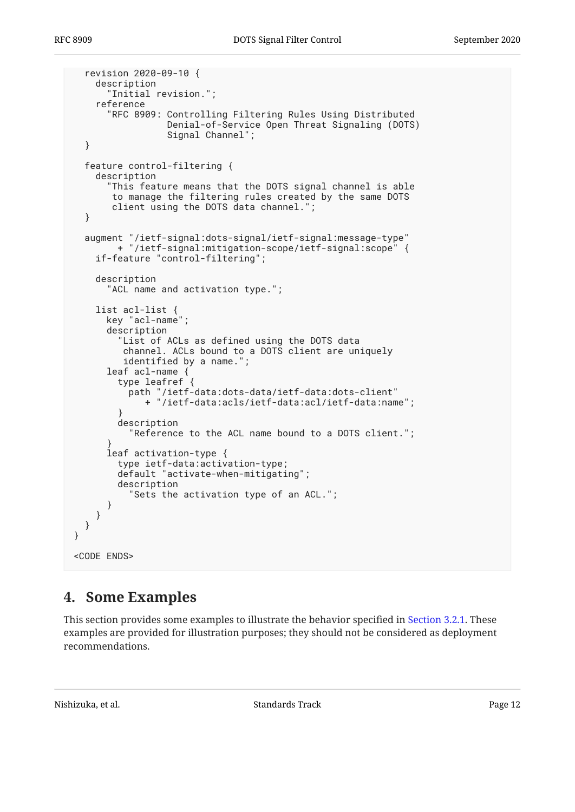```
 revision 2020-09-10 {
     description
       "Initial revision.";
     reference
       "RFC 8909: Controlling Filtering Rules Using Distributed
                   Denial-of-Service Open Threat Signaling (DOTS)
                   Signal Channel";
   }
   feature control-filtering {
     description
       "This feature means that the DOTS signal channel is able
        to manage the filtering rules created by the same DOTS
        client using the DOTS data channel.";
   }
   augment "/ietf-signal:dots-signal/ietf-signal:message-type"
         + "/ietf-signal:mitigation-scope/ietf-signal:scope" {
     if-feature "control-filtering";
     description
       "ACL name and activation type.";
     list acl-list {
       key "acl-name";
       description
          "List of ACLs as defined using the DOTS data
          channel. ACLs bound to a DOTS client are uniquely
          identified by a name.";
       leaf acl-name {
         type leafref {
           path "/ietf-data:dots-data/ietf-data:dots-client"
              + "/ietf-data:acls/ietf-data:acl/ietf-data:name";
 }
         description
            "Reference to the ACL name bound to a DOTS client.";
 }
       leaf activation-type {
         type ietf-data:activation-type;
         default "activate-when-mitigating";
         description
           "Sets the activation type of an ACL.";
       }
     }
   }
}
<CODE ENDS>
```
### <span id="page-11-0"></span>**[4. Some Examples](#page-11-0)**

This section provides some examples to illustrate the behavior specified in [Section 3.2.1.](#page-5-3) These examples are provided for illustration purposes; they should not be considered as deployment recommendations.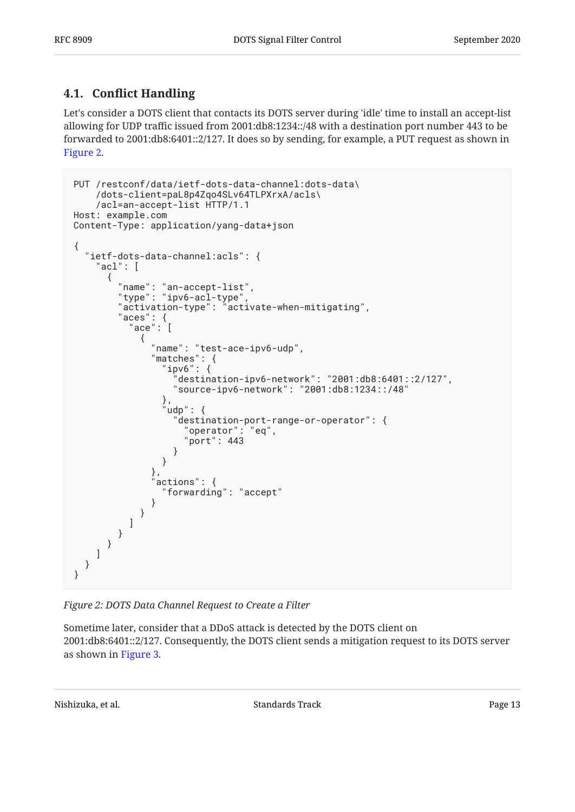### <span id="page-12-0"></span>**[4.1. C](#page-12-0)onfl[ict Handling](#page-12-0)**

Let's consider a DOTS client that contacts its DOTS server during 'idle' time to install an accept-list allowing for UDP traffic issued from 2001:db8:1234::/48 with a destination port number 443 to be forwarded to 2001:db8:6401::2/127. It does so by sending, for example, a PUT request as shown in [Figure 2.](#page-12-1)

```
PUT /restconf/data/ietf-dots-data-channel:dots-data\
    /dots-client=paL8p4Zqo4SLv64TLPXrxA/acls\
    /acl=an-accept-list HTTP/1.1
Host: example.com
Content-Type: application/yang-data+json
{
   "ietf-dots-data-channel:acls": {
    "acl": [
      {
 "name": "an-accept-list",
 "type": "ipv6-acl-type",
 "activation-type": "activate-when-mitigating",
 "aces": {
\blacksquare ace": [
\{ "name": "test-ace-ipv6-udp",
             "matches": {
               "ipv6": {
                 "destination-ipv6-network": "2001:db8:6401::2/127",
                 "source-ipv6-network": "2001:db8:1234::/48"
\},
               'udp": {
                 "destination-port-range-or-operator": {
                   "operator": "eq",
                   "port": 443
 }
 }
             },
             actions": {
               "forwarding": "accept"
 }
 }
 ]
 }
 }
\blacksquare }
}
```
*[Figure 2: DOTS Data Channel Request to Create a Filter](#page-12-1)* 

Sometime later, consider that a DDoS attack is detected by the DOTS client on 2001:db8:6401::2/127. Consequently, the DOTS client sends a mitigation request to its DOTS server as shown in [Figure 3](#page-13-0).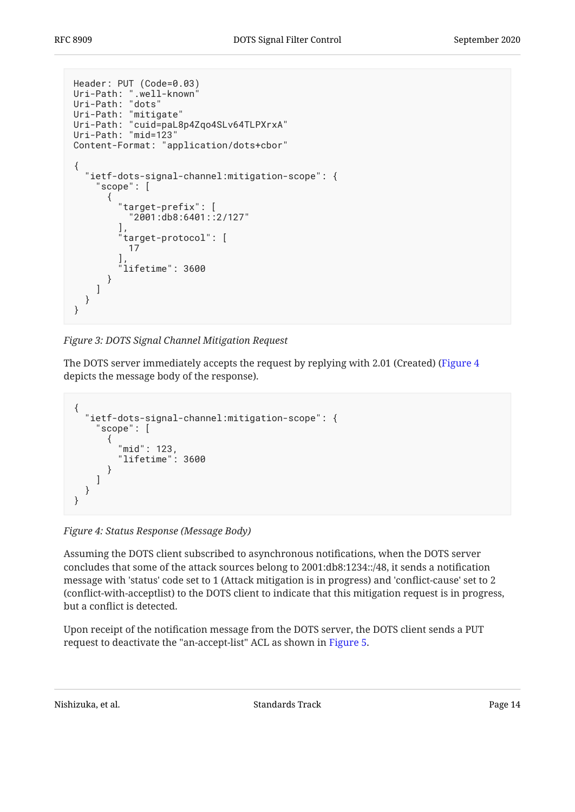```
Header: PUT (Code=0.03)
Uri-Path: ".well-known<sup>"</sup>
Uri-Path: "dots"
Uri-Path: "mitigate"
Uri-Path: "cuid=paL8p4Zqo4SLv64TLPXrxA"
Uri-Path: "mid=123"
Content-Format: "application/dots+cbor"
{
   "ietf-dots-signal-channel:mitigation-scope": {
      "scope": [
        {
          "target-prefix": [
            "2001:db8:6401::2/127"
\qquad \qquad "target-protocol": [
            17
\qquad \qquadlifetime": 3600
       }
     ]
   }
}
```
*[Figure 3: DOTS Signal Channel Mitigation Request](#page-13-0)* 

The DOTS server immediately accepts the request by replying with 2.01 (Created) [\(Figure 4](#page-13-1) depicts the message body of the response).

```
{
   "ietf-dots-signal-channel:mitigation-scope": {
      "scope": [
       {
          "mid": 123,
          "lifetime": 3600
 }
     ]
   }
}
```
*[Figure 4: Status Response \(Message Body\)](#page-13-1)* 

Assuming the DOTS client subscribed to asynchronous notifications, when the DOTS server concludes that some of the attack sources belong to 2001:db8:1234::/48, it sends a notification message with 'status' code set to 1 (Attack mitigation is in progress) and 'conflict-cause' set to 2 (conflict-with-acceptlist) to the DOTS client to indicate that this mitigation request is in progress, but a conflict is detected.

Upon receipt of the notification message from the DOTS server, the DOTS client sends a PUT request to deactivate the "an-accept-list" ACL as shown in [Figure 5.](#page-14-0)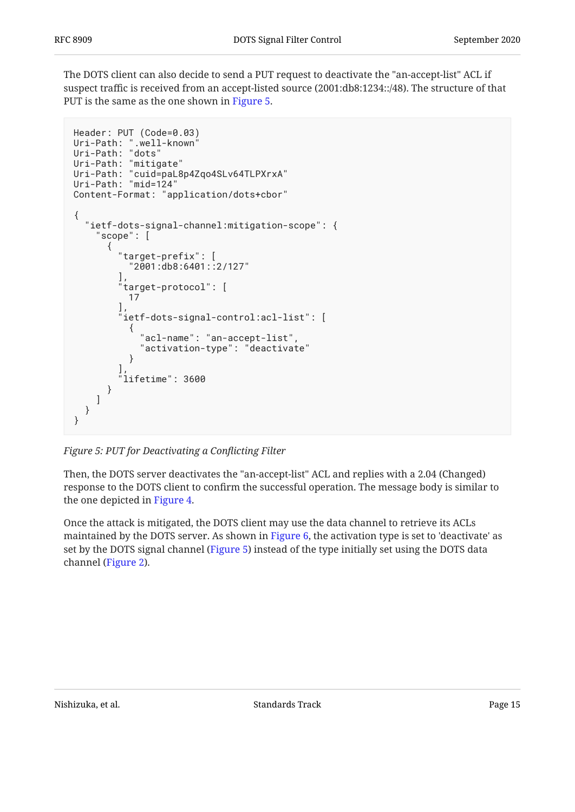The DOTS client can also decide to send a PUT request to deactivate the "an-accept-list" ACL if suspect traffic is received from an accept-listed source (2001:db8:1234::/48). The structure of that PUT is the same as the one shown in [Figure 5.](#page-14-0)

```
Header: PUT (Code=0.03)
Uri-Path: ".well-known"
Uri-Path: "dots"
Uri-Path: "mitigate"
Uri-Path: "cuid=paL8p4Zqo4SLv64TLPXrxA"
Uri-Path: "mid=124"
Content-Format: "application/dots+cbor"
{
   "ietf-dots-signal-channel:mitigation-scope": {
     "scope": [
       {
         "target-prefix": [
           "2001:db8:6401::2/127"
         ],
         target-protocol": [
           17
         ],
         "ietf-dots-signal-control:acl-list": [
\{ "acl-name": "an-accept-list",
           "activation-type": "deactivate"
 }
\qquad \qquad "lifetime": 3600
       }
     ]
   }
}
```
*[Figure 5: PUT for Deactivating a Con](#page-14-0)flicting Filter* 

Then, the DOTS server deactivates the "an-accept-list" ACL and replies with a 2.04 (Changed) response to the DOTS client to confirm the successful operation. The message body is similar to the one depicted in [Figure 4.](#page-13-1)

Once the attack is mitigated, the DOTS client may use the data channel to retrieve its ACLs maintained by the DOTS server. As shown in [Figure 6](#page-15-1), the activation type is set to 'deactivate' as set by the DOTS signal channel ([Figure 5\)](#page-14-0) instead of the type initially set using the DOTS data channel [\(Figure 2](#page-12-1)).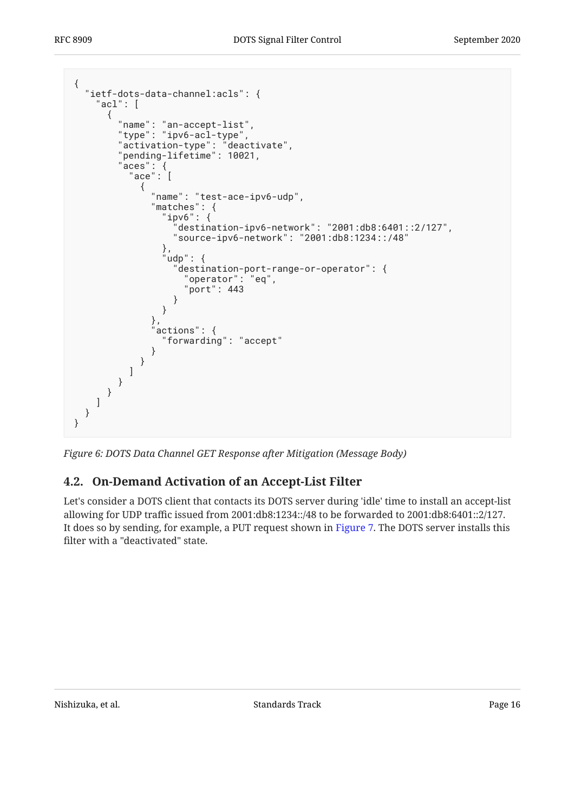```
{
 "ietf-dots-data-channel:acls": {
 "acl": [
       {
 "name": "an-accept-list",
 "type": "ipv6-acl-type",
 "activation-type": "deactivate",
 "pending-lifetime": 10021,
 "aces": {
\blacksquare ace": [
\{ "name": "test-ace-ipv6-udp",
               "matches": {
                 "ipv6": {
                   "destination-ipv6-network": "2001:db8:6401::2/127",
                  "source-ipv6-network": "2001:db8:1234::/48"
\},
 "udp": {
 "destination-port-range-or-operator": {
 "operator": "eq",
                     "port": 443
 }
 }
\}, \}, \}, \}, \}, \}, \}, \}, \}, \{, \}, \{, \}, \{, \}, \{, \}, \{, \}, \{, \}, \{, \}, \{, \}, \{, \}, \{, \}, \{, \}, \{, \}, \{, \}, \{, \},
              },<br>"actions": {
                 "forwarding": "accept"
 }
 }
 ]
 }
 }
\blacksquare }
}
```
<span id="page-15-0"></span>*[Figure 6: DOTS Data Channel GET Response after Mitigation \(Message Body\)](#page-15-1)* 

### **[4.2. On-Demand Activation of an Accept-List Filter](#page-15-0)**

Let's consider a DOTS client that contacts its DOTS server during 'idle' time to install an accept-list allowing for UDP traffic issued from 2001:db8:1234::/48 to be forwarded to 2001:db8:6401::2/127. It does so by sending, for example, a PUT request shown in [Figure 7.](#page-16-0) The DOTS server installs this filter with a "deactivated" state.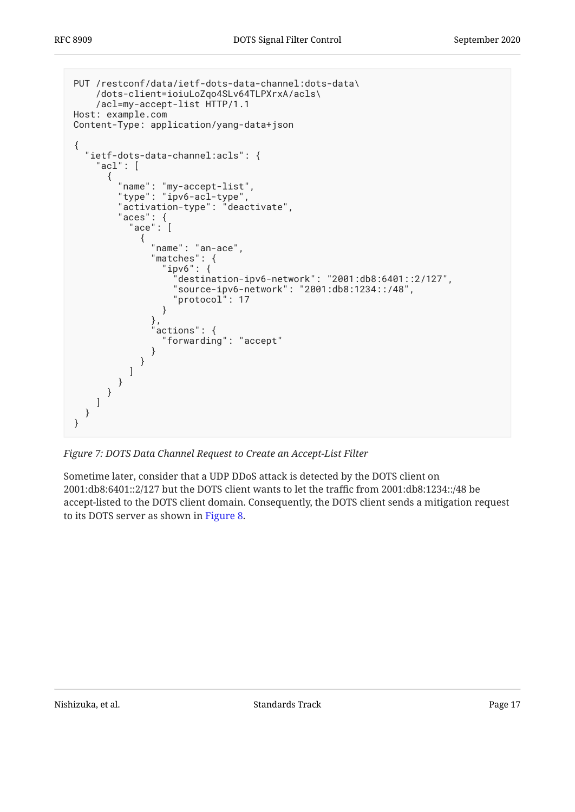```
PUT /restconf/data/ietf-dots-data-channel:dots-data\
    /dots-client=ioiuLoZqo4SLv64TLPXrxA/acls\
    /acl=my-accept-list HTTP/1.1
Host: example.com
Content-Type: application/yang-data+json
{
  "ietf-dots-data-channel:acls": {
    "acl": [
      {
 "name": "my-accept-list",
 "type": "ipv6-acl-type",
        "activation-type": "deactivate",
 "aces": {
\blacksquare ace": [
\{ "name": "an-ace",
 "matches": {
 "ipv6": {
                  "destination-ipv6-network": "2001:db8:6401::2/127",
                 "source-ipv6-network": "2001:db8:1234::/48",
                 "protocol": 17
 }
              },
             \overline{\text{actions}} : {
                "forwarding": "accept"
 }
 }
 ]
 }
 }
\blacksquare }
}
```
*[Figure 7: DOTS Data Channel Request to Create an Accept-List Filter](#page-16-0)* 

Sometime later, consider that a UDP DDoS attack is detected by the DOTS client on 2001:db8:6401::2/127 but the DOTS client wants to let the traffic from 2001:db8:1234::/48 be accept-listed to the DOTS client domain. Consequently, the DOTS client sends a mitigation request to its DOTS server as shown in [Figure 8.](#page-17-1)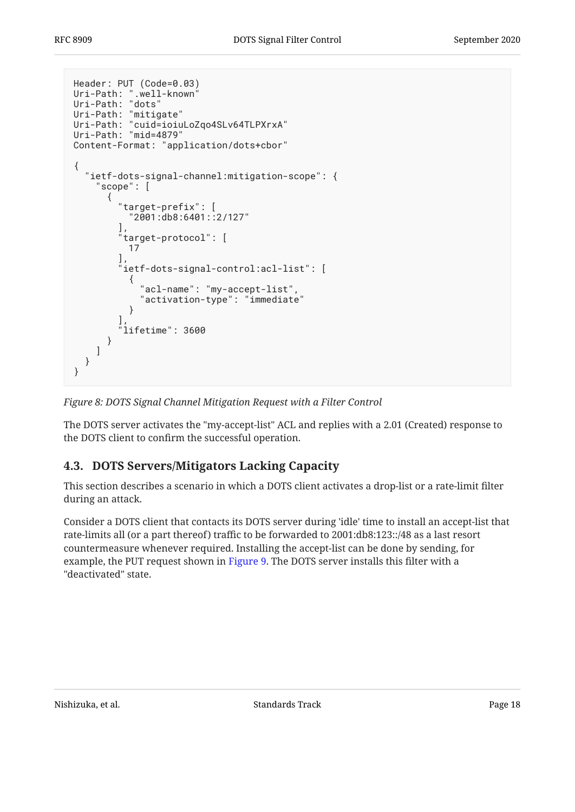```
Header: PUT (Code=0.03)
Uri-Path: ".well-known"
Uri-Path: "dots"
Uri-Path: "mitigate"
Uri-Path: "cuid=ioiuLoZqo4SLv64TLPXrxA"
Uri-Path: "mid=4879"
Content-Format: "application/dots+cbor"
{
   "ietf-dots-signal-channel:mitigation-scope": {
     "scope": [
       {
         "target-prefix": [
           "2001:db8:6401::2/127"
\qquad \qquad "target-protocol": [
 17
\qquad \qquadietf-dots-signal-control:acl-list": [
\{ "acl-name": "my-accept-list",
             "activation-type": "immediate"
 }
\qquad \qquad "lifetime": 3600
       }
     ]
  }
}
```

```
Figure 8: DOTS Signal Channel Mitigation Request with a Filter Control
```
The DOTS server activates the "my-accept-list" ACL and replies with a 2.01 (Created) response to the DOTS client to confirm the successful operation.

### <span id="page-17-0"></span>**[4.3. DOTS Servers/Mitigators Lacking Capacity](#page-17-0)**

This section describes a scenario in which a DOTS client activates a drop-list or a rate-limit filter during an attack.

Consider a DOTS client that contacts its DOTS server during 'idle' time to install an accept-list that rate-limits all (or a part thereof) traffic to be forwarded to 2001:db8:123::/48 as a last resort countermeasure whenever required. Installing the accept-list can be done by sending, for example, the PUT request shown in [Figure 9.](#page-18-0) The DOTS server installs this filter with a "deactivated" state.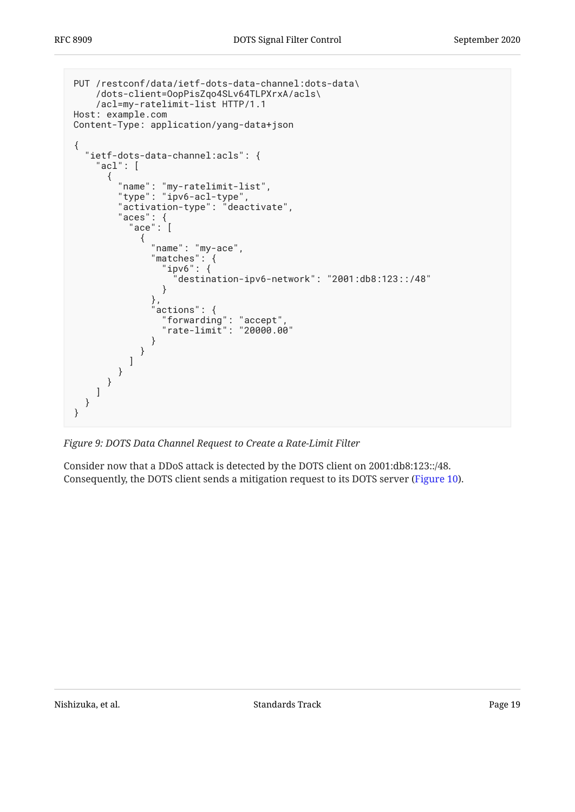```
PUT /restconf/data/ietf-dots-data-channel:dots-data\
    /dots-client=OopPisZqo4SLv64TLPXrxA/acls\
    /acl=my-ratelimit-list HTTP/1.1
Host: example.com
Content-Type: application/yang-data+json
{
  "ietf-dots-data-channel:acls": {
    "acl": [
      {
 "name": "my-ratelimit-list",
 "type": "ipv6-acl-type",
       "activation-type": "deactivate",
 "aces": {
\blacksquare ace": [
\{ "name": "my-ace",
 "matches": {
 "ipv6": {
              "destination-ipv6-network": "2001:db8:123::/48"
 }
            },
           "actions": "forwarding": "accept",
 "rate-limit": "20000.00"
 }
 }
 ]
 }
 }
\blacksquare }
}
```
*[Figure 9: DOTS Data Channel Request to Create a Rate-Limit Filter](#page-18-0)* 

Consider now that a DDoS attack is detected by the DOTS client on 2001:db8:123::/48. Consequently, the DOTS client sends a mitigation request to its DOTS server ([Figure 10\)](#page-19-0).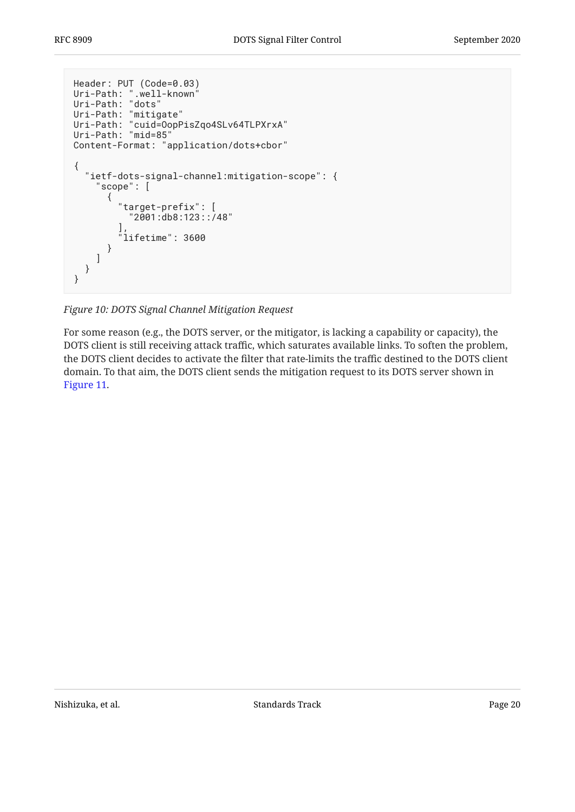```
Header: PUT (Code=0.03)
Uri-Path: ".well-known"
Uri-Path: "dots"
Uri-Path: "mitigate"
Uri-Path: "cuid=OopPisZqo4SLv64TLPXrxA"
Uri-Path: "mid=85"
Content-Format: "application/dots+cbor"
{
   "ietf-dots-signal-channel:mitigation-scope": {
     "scope": [
       {
         "target-prefix": [
            "2001:db8:123::/48"
\qquad \qquad "lifetime": 3600
       }
     ]
   }
}
```
*[Figure 10: DOTS Signal Channel Mitigation Request](#page-19-0)* 

For some reason (e.g., the DOTS server, or the mitigator, is lacking a capability or capacity), the DOTS client is still receiving attack traffic, which saturates available links. To soften the problem, the DOTS client decides to activate the filter that rate-limits the traffic destined to the DOTS client domain. To that aim, the DOTS client sends the mitigation request to its DOTS server shown in [Figure 11.](#page-20-0)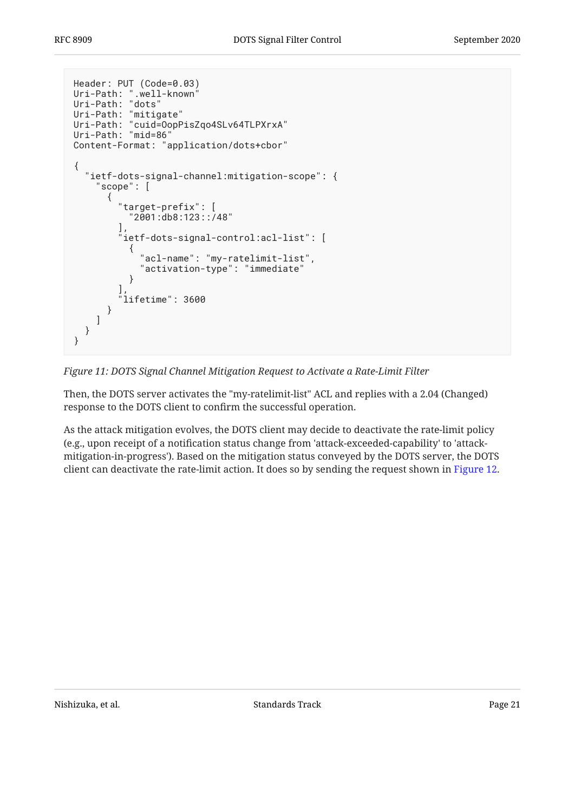```
Header: PUT (Code=0.03)
Uri-Path: ".well-known"
Uri-Path: "dots"
Uri-Path: "mitigate"
Uri-Path: "cuid=OopPisZqo4SLv64TLPXrxA"
Uri-Path: "mid=86"
Content-Format: "application/dots+cbor"
{
   "ietf-dots-signal-channel:mitigation-scope": {
     "scope": [
       {
         "target-prefix": [
           "2001:db8:123::/48"
\qquad \qquadietf-dots-signal-control:acl-list": [
\{ "acl-name": "my-ratelimit-list",
           "activation-type": "immediate"
 }
\qquad \qquad "lifetime": 3600
       }
     ]
   }
}
```
*[Figure 11: DOTS Signal Channel Mitigation Request to Activate a Rate-Limit Filter](#page-20-0)* 

Then, the DOTS server activates the "my-ratelimit-list" ACL and replies with a 2.04 (Changed) response to the DOTS client to confirm the successful operation.

As the attack mitigation evolves, the DOTS client may decide to deactivate the rate-limit policy (e.g., upon receipt of a notification status change from 'attack-exceeded-capability' to 'attackmitigation-in-progress'). Based on the mitigation status conveyed by the DOTS server, the DOTS client can deactivate the rate-limit action. It does so by sending the request shown in [Figure 12.](#page-21-3)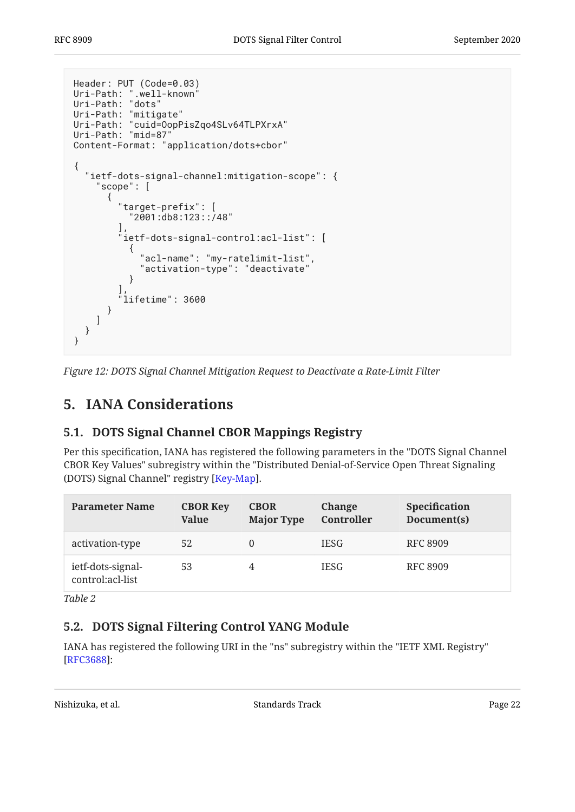```
Header: PUT (Code=0.03)
Uri-Path: ".well-known"
Uri-Path: "dots"
Uri-Path: "mitigate"
Uri-Path: "cuid=OopPisZqo4SLv64TLPXrxA"
Uri-Path: "mid=87"
Content-Format: "application/dots+cbor"
{
   "ietf-dots-signal-channel:mitigation-scope": {
     "scope": [
       {
         "target-prefix": [
           "2001:db8:123::/48"
\qquad \qquadietf-dots-signal-control:acl-list": [
\{ "acl-name": "my-ratelimit-list",
           "activation-type": "deactivate"
 }
\qquad \qquad "lifetime": 3600
       }
     ]
  }
}
```
<span id="page-21-0"></span>*[Figure 12: DOTS Signal Channel Mitigation Request to Deactivate a Rate-Limit Filter](#page-21-3)* 

## <span id="page-21-1"></span>**[5. IANA Considerations](#page-21-0)**

### **[5.1. DOTS Signal Channel CBOR Mappings Registry](#page-21-1)**

Per this specification, IANA has registered the following parameters in the "DOTS Signal Channel CBOR Key Values" subregistry within the "Distributed Denial-of-Service Open Threat Signaling (DOTS) Signal Channel" registry [[Key-Map\]](#page-23-10).

<span id="page-21-4"></span>

| <b>Parameter Name</b>                 | <b>CBOR Key</b><br><b>Value</b> | <b>CBOR</b><br><b>Major Type</b> | Change<br>Controller | <b>Specification</b><br>Document(s) |
|---------------------------------------|---------------------------------|----------------------------------|----------------------|-------------------------------------|
| activation-type                       | 52                              |                                  | <b>IESG</b>          | RFC 8909                            |
| ietf-dots-signal-<br>control:acl-list | 53                              |                                  | <b>IESG</b>          | <b>RFC 8909</b>                     |

<span id="page-21-2"></span>*[Table 2](#page-21-4)*

### **[5.2. DOTS Signal Filtering Control YANG Module](#page-21-2)**

IANA has registered the following URI in the "ns" subregistry within the "IETF XML Registry" [[RFC3688\]](#page-23-11):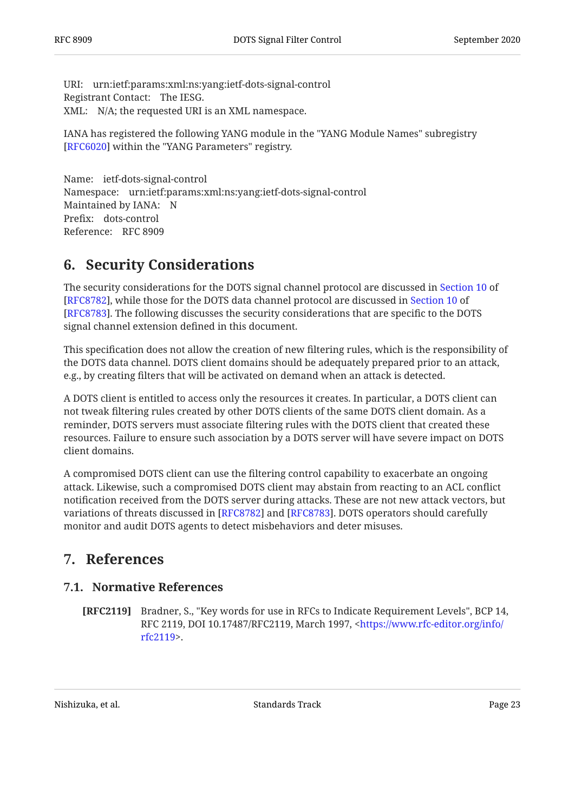URI: urn:ietf:params:xml:ns:yang:ietf-dots-signal-control Registrant Contact: The IESG. XML: N/A; the requested URI is an XML namespace.

IANA has registered the following YANG module in the "YANG Module Names" subregistry [[RFC6020\]](#page-23-12) within the "YANG Parameters" registry.

Name: ietf-dots-signal-control Namespace: urn:ietf:params:xml:ns:yang:ietf-dots-signal-control Maintained by IANA: N Prefix: dots-control Reference: RFC 8909

### <span id="page-22-0"></span>**[6. Security Considerations](#page-22-0)**

The security considerations for the DOTS signal channel protocol are discussed in [Section 10](https://www.rfc-editor.org/rfc/rfc8782#section-10) of [[RFC8782\]](#page-23-2), while those for the DOTS data channel protocol are discussed in [Section 10](https://www.rfc-editor.org/rfc/rfc8783#section-10) of [[RFC8783\]](#page-23-3). The following discusses the security considerations that are specific to the DOTS signal channel extension defined in this document.

This specification does not allow the creation of new filtering rules, which is the responsibility of the DOTS data channel. DOTS client domains should be adequately prepared prior to an attack, e.g., by creating filters that will be activated on demand when an attack is detected.

A DOTS client is entitled to access only the resources it creates. In particular, a DOTS client can not tweak filtering rules created by other DOTS clients of the same DOTS client domain. As a reminder, DOTS servers must associate filtering rules with the DOTS client that created these resources. Failure to ensure such association by a DOTS server will have severe impact on DOTS client domains.

A compromised DOTS client can use the filtering control capability to exacerbate an ongoing attack. Likewise, such a compromised DOTS client may abstain from reacting to an ACL conflict notification received from the DOTS server during attacks. These are not new attack vectors, but variations of threats discussed in [\[RFC8782](#page-23-2)] and [[RFC8783\]](#page-23-3). DOTS operators should carefully monitor and audit DOTS agents to detect misbehaviors and deter misuses.

### <span id="page-22-2"></span><span id="page-22-1"></span>**[7. References](#page-22-1)**

#### **[7.1. Normative References](#page-22-2)**

<span id="page-22-3"></span>**[RFC2119]** Bradner, S., "Key words for use in RFCs to Indicate Requirement Levels", BCP 14, RFC 2119, DOI 10.17487/RFC2119, March 1997, <[https://www.rfc-editor.org/info/](https://www.rfc-editor.org/info/rfc2119) . [rfc2119>](https://www.rfc-editor.org/info/rfc2119)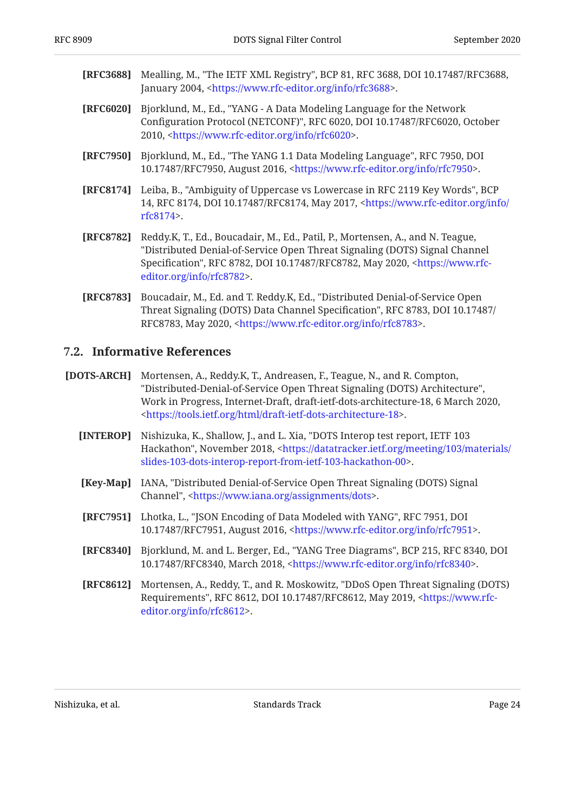- <span id="page-23-11"></span>**[RFC3688]** Mealling, M., "The IETF XML Registry", BCP 81, RFC 3688, DOI 10.17487/RFC3688, January 2004, <https://www.rfc-editor.org/info/rfc3688>.
- <span id="page-23-12"></span>**[RFC6020]** , Bjorklund, M., Ed. "YANG - A Data Modeling Language for the Network Configuration Protocol (NETCONF)", RFC 6020, DOI 10.17487/RFC6020, October 2010, <https://www.rfc-editor.org/info/rfc6020>.
- <span id="page-23-8"></span>**[RFC7950]** Bjorklund, M., Ed., "The YANG 1.1 Data Modeling Language", RFC 7950, DOI 10.17487/RFC7950, August 2016, <https://www.rfc-editor.org/info/rfc7950>.
- <span id="page-23-6"></span>**[RFC8174]** Leiba, B., "Ambiguity of Uppercase vs Lowercase in RFC 2119 Key Words", BCP 14, RFC 8174, DOI 10.17487/RFC8174, May 2017, [<https://www.rfc-editor.org/info/](https://www.rfc-editor.org/info/rfc8174) . [rfc8174>](https://www.rfc-editor.org/info/rfc8174)
- <span id="page-23-2"></span>**[RFC8782]** , Reddy.K, T., Ed., Boucadair, M., Ed., Patil, P., Mortensen, A., and N. Teague Specification", RFC 8782, DOI 10.17487/RFC8782, May 2020, [<https://www.rfc-](https://www.rfc-editor.org/info/rfc8782). [editor.org/info/rfc8782>](https://www.rfc-editor.org/info/rfc8782) "Distributed Denial-of-Service Open Threat Signaling (DOTS) Signal Channel
- <span id="page-23-3"></span>**[RFC8783]** Boucadair, M., Ed. and T. Reddy.K, Ed., "Distributed Denial-of-Service Open , , Threat Signaling (DOTS) Data Channel Specification" RFC 8783 DOI 10.17487/ RFC8783, May 2020, [<https://www.rfc-editor.org/info/rfc8783](https://www.rfc-editor.org/info/rfc8783)>.

#### <span id="page-23-0"></span>**[7.2. Informative References](#page-23-0)**

- <span id="page-23-10"></span><span id="page-23-9"></span><span id="page-23-7"></span><span id="page-23-5"></span><span id="page-23-4"></span><span id="page-23-1"></span>**[DOTS-ARCH]** Mortensen, A., Reddy.K, T., Andreasen, F., Teague, N., and R. Compton, , "Distributed-Denial-of-Service Open Threat Signaling (DOTS) Architecture" Work in Progress, Internet-Draft, draft-ietf-dots-architecture-18, 6 March 2020, . [<https://tools.ietf.org/html/draft-ietf-dots-architecture-18](https://tools.ietf.org/html/draft-ietf-dots-architecture-18)>
	- **[INTEROP]** Nishizuka, K., Shallow, J., and L. Xia, "DOTS Interop test report, IETF 103 Hackathon", November 2018, <[https://datatracker.ietf.org/meeting/103/materials/](https://datatracker.ietf.org/meeting/103/materials/slides-103-dots-interop-report-from-ietf-103-hackathon-00) . [slides-103-dots-interop-report-from-ietf-103-hackathon-00>](https://datatracker.ietf.org/meeting/103/materials/slides-103-dots-interop-report-from-ietf-103-hackathon-00)
	- **[Key-Map]** IANA, "Distributed Denial-of-Service Open Threat Signaling (DOTS) Signal Channel", [<https://www.iana.org/assignments/dots](https://www.iana.org/assignments/dots)>.
	- **[RFC7951]** Lhotka, L., "JSON Encoding of Data Modeled with YANG", RFC 7951, DOI 10.17487/RFC7951, August 2016, [<https://www.rfc-editor.org/info/rfc7951](https://www.rfc-editor.org/info/rfc7951)>.
	- **[RFC8340]** Bjorklund, M. and L. Berger, Ed., "YANG Tree Diagrams", BCP 215, RFC 8340, DOI 10.17487/RFC8340, March 2018, <https://www.rfc-editor.org/info/rfc8340>.
	- **[RFC8612]** , Mortensen, A., Reddy, T., and R. Moskowitz "DDoS Open Threat Signaling (DOTS) Requirements", RFC 8612, DOI 10.17487/RFC8612, May 2019, [<https://www.rfc-](https://www.rfc-editor.org/info/rfc8612). [editor.org/info/rfc8612>](https://www.rfc-editor.org/info/rfc8612)